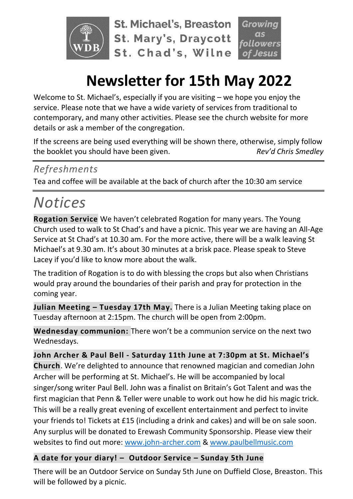

**St. Michael's, Breaston St. Mary's, Draycott** St. Chad's, Wilne

**lowers** 

# **Newsletter for 15th May 2022**

Welcome to St. Michael's, especially if you are visiting – we hope you enjoy the service. Please note that we have a wide variety of services from traditional to contemporary, and many other activities. Please see the church website for more details or ask a member of the congregation.

If the screens are being used everything will be shown there, otherwise, simply follow the booklet you should have been given. *Rev'd Chris Smedley*

## *Refreshments*

Tea and coffee will be available at the back of church after the 10:30 am service

# *Notices*

**Rogation Service** We haven't celebrated Rogation for many years. The Young Church used to walk to St Chad's and have a picnic. This year we are having an All-Age Service at St Chad's at 10.30 am. For the more active, there will be a walk leaving St Michael's at 9.30 am. It's about 30 minutes at a brisk pace. Please speak to Steve Lacey if you'd like to know more about the walk.

The tradition of Rogation is to do with blessing the crops but also when Christians would pray around the boundaries of their parish and pray for protection in the coming year.

**Julian Meeting – Tuesday 17th May.** There is a Julian Meeting taking place on Tuesday afternoon at 2:15pm. The church will be open from 2:00pm.

**Wednesday communion:** There won't be a communion service on the next two Wednesdays.

**John Archer & Paul Bell - Saturday 11th June at 7:30pm at St. Michael's Church**. We're delighted to announce that renowned magician and comedian John Archer will be performing at St. Michael's. He will be accompanied by local singer/song writer Paul Bell. John was a finalist on Britain's Got Talent and was the first magician that Penn & Teller were unable to work out how he did his magic trick. This will be a really great evening of excellent entertainment and perfect to invite your friends to! Tickets at £15 (including a drink and cakes) and will be on sale soon. Any surplus will be donated to Erewash Community Sponsorship. Please view their websites to find out more: [www.john-archer.com](http://www.john-archer.com/) & [www.paulbellmusic.com](http://www.paulbellmusic.com/)

## **A date for your diary! – Outdoor Service – Sunday 5th June**

There will be an Outdoor Service on Sunday 5th June on Duffield Close, Breaston. This will be followed by a picnic.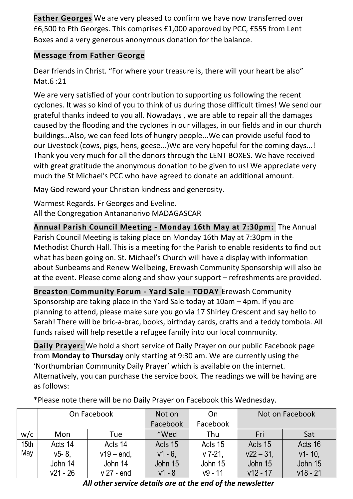**Father Georges** We are very pleased to confirm we have now transferred over £6,500 to Fth Georges. This comprises £1,000 approved by PCC, £555 from Lent Boxes and a very generous anonymous donation for the balance.

### **Message from Father George**

Dear friends in Christ. "For where your treasure is, there will your heart be also" Mat.6 :21

We are very satisfied of your contribution to supporting us following the recent cyclones. It was so kind of you to think of us during those difficult times! We send our grateful thanks indeed to you all. Nowadays , we are able to repair all the damages caused by the flooding and the cyclones in our villages, in our fields and in our church buildings…Also, we can feed lots of hungry people...We can provide useful food to our Livestock (cows, pigs, hens, geese...)We are very hopeful for the coming days...! Thank you very much for all the donors through the LENT BOXES. We have received with great gratitude the anonymous donation to be given to us! We appreciate very much the St Michael's PCC who have agreed to donate an additional amount.

May God reward your Christian kindness and generosity.

Warmest Regards. Fr Georges and Eveline. All the Congregation Antananarivo MADAGASCAR

**Annual Parish Council Meeting - Monday 16th May at 7:30pm:** The Annual Parish Council Meeting is taking place on Monday 16th May at 7:30pm in the Methodist Church Hall. This is a meeting for the Parish to enable residents to find out what has been going on. St. Michael's Church will have a display with information about Sunbeams and Renew Wellbeing, Erewash Community Sponsorship will also be at the event. Please come along and show your support – refreshments are provided.

**Breaston Community Forum - Yard Sale - TODAY** Erewash Community Sponsorship are taking place in the Yard Sale today at 10am – 4pm. If you are planning to attend, please make sure you go via 17 Shirley Crescent and say hello to Sarah! There will be bric-a-brac, books, birthday cards, crafts and a teddy tombola. All funds raised will help resettle a refugee family into our local community.

**Daily Prayer:** We hold a short service of Daily Prayer on our public Facebook page from **Monday to Thursday** only starting at 9:30 am. We are currently using the 'Northumbrian Community Daily Prayer' which is available on the internet. Alternatively, you can purchase the service book. The readings we will be having are as follows:

|      | On Facebook |               | Not on     | On        | Not on Facebook |            |  |  |
|------|-------------|---------------|------------|-----------|-----------------|------------|--|--|
|      |             |               | Facebook   | Facebook  |                 |            |  |  |
| w/c  | Mon         | Tue           | *Wed       | Thu       | Fri             | Sat        |  |  |
| 15th | Acts 14     | Acts 14       | Acts 15    | Acts 15   | Acts 15         | Acts 16    |  |  |
| May  | $v5 - 8$ .  | $v19 - end$ , | $v1 - 6$ . | $v$ 7-21, | $v22 - 31$ ,    | $v1 - 10$  |  |  |
|      | John 14     | John 14       | John 15    | John 15   | John 15         | John 15    |  |  |
|      | $v21 - 26$  | $v$ 27 - end  | v1 - 8     | $v9 - 11$ | $v12 - 17$      | $v18 - 21$ |  |  |

\*Please note there will be no Daily Prayer on Facebook this Wednesday.

*All other service details are at the end of the newsletter*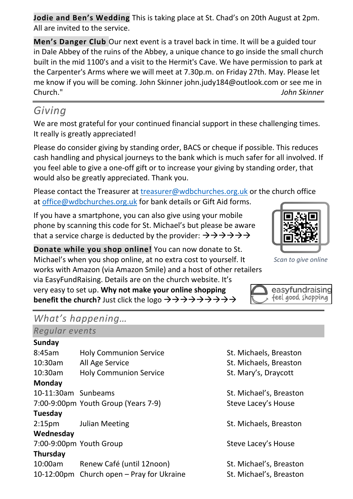**Jodie and Ben's Wedding** This is taking place at St. Chad's on 20th August at 2pm. All are invited to the service.

**Men's Danger Club** Our next event is a travel back in time. It will be a guided tour in Dale Abbey of the ruins of the Abbey, a unique chance to go inside the small church built in the mid 1100's and a visit to the Hermit's Cave. We have permission to park at the Carpenter's Arms where we will meet at 7.30p.m. on Friday 27th. May. Please let me know if you will be coming. John Skinner john.judy184@outlook.com or see me in Church." *John Skinner*

# *Giving*

We are most grateful for your continued financial support in these challenging times. It really is greatly appreciated!

Please do consider giving by standing order, BACS or cheque if possible. This reduces cash handling and physical journeys to the bank which is much safer for all involved. If you feel able to give a one-off gift or to increase your giving by standing order, that would also be greatly appreciated. Thank you.

Please contact the Treasurer at [treasurer@wdbchurches.org.uk](mailto:treasurer@wdbchurches.org.uk) or the church office at [office@wdbchurches.org.uk](mailto:office@wdbchurches.org.uk) for bank details or Gift Aid forms.

If you have a smartphone, you can also give using your mobile phone by scanning this code for St. Michael's but please be aware that a service charge is deducted by the provider:  $\rightarrow \rightarrow \rightarrow \rightarrow \rightarrow \rightarrow$ 

**Donate while you shop online!** You can now donate to St. Michael's when you shop online, at no extra cost to yourself. It works with Amazon (via Amazon Smile) and a host of other retailers via EasyFundRaising. Details are on the [church website](http://www.stmichaelsbreaston.org.uk/index.php/113-news/236-giving-online). It's very easy to set up. **Why not make your online shopping benefit the church?** Just click the logo →→→→→→→→→

## *What's happening…*

### *Regular events*

#### **Sunday**

8:45am Holy Communion Service St. Michaels, Breaston 10:30am All Age Service St. Michaels, Breaston 10:30am Holy Communion Service St. Mary's, Draycott **Monday** 10-11:30am Sunbeams St. Michael's, Breaston 7:00-9:00pm Youth Group (Years 7-9) Steve Lacey's House **Tuesday** 2:15pm Julian Meeting The St. Michaels, Breaston **Wednesday** 7:00-9:00pm Youth Group Steve Lacey's House **Thursday** 10:00am Renew Café (until 12noon) St. Michael's, Breaston 10-12:00pm Church open – Pray for Ukraine St. Michael's, Breaston

- 
- 
- 



*Scan to give online*